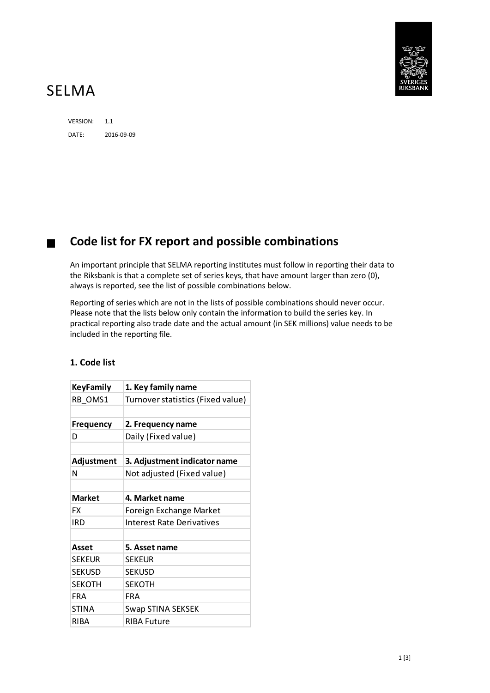

## SELMA

VERSION: 1.1 DATE: 2016-09-09

## **Code list for FX report and possible combinations**

An important principle that SELMA reporting institutes must follow in reporting their data to the Riksbank is that a complete set of series keys, that have amount larger than zero (0), always is reported, see the list of possible combinations below.

Reporting of series which are not in the lists of possible combinations should never occur. Please note that the lists below only contain the information to build the series key. In practical reporting also trade date and the actual amount (in SEK millions) value needs to be included in the reporting file.

## **KeyFamily 1. Key family name**

**1. Code list**

| RB OMS1          | Turnover statistics (Fixed value) |  |  |  |  |  |
|------------------|-----------------------------------|--|--|--|--|--|
|                  |                                   |  |  |  |  |  |
| <b>Frequency</b> | 2. Frequency name                 |  |  |  |  |  |
| D                | Daily (Fixed value)               |  |  |  |  |  |
|                  |                                   |  |  |  |  |  |
| Adjustment       | 3. Adjustment indicator name      |  |  |  |  |  |
| N                | Not adjusted (Fixed value)        |  |  |  |  |  |
|                  |                                   |  |  |  |  |  |
| <b>Market</b>    | 4. Market name                    |  |  |  |  |  |
| FX               | Foreign Exchange Market           |  |  |  |  |  |
| <b>IRD</b>       | <b>Interest Rate Derivatives</b>  |  |  |  |  |  |
|                  |                                   |  |  |  |  |  |
| Asset            | 5. Asset name                     |  |  |  |  |  |
| <b>SEKEUR</b>    | <b>SEKEUR</b>                     |  |  |  |  |  |
| <b>SEKUSD</b>    | <b>SEKUSD</b>                     |  |  |  |  |  |
| <b>SEKOTH</b>    | <b>SEKOTH</b>                     |  |  |  |  |  |
| <b>FRA</b>       | <b>FRA</b>                        |  |  |  |  |  |
| <b>STINA</b>     | Swap STINA SEKSEK                 |  |  |  |  |  |
| RIBA             | <b>RIBA Future</b>                |  |  |  |  |  |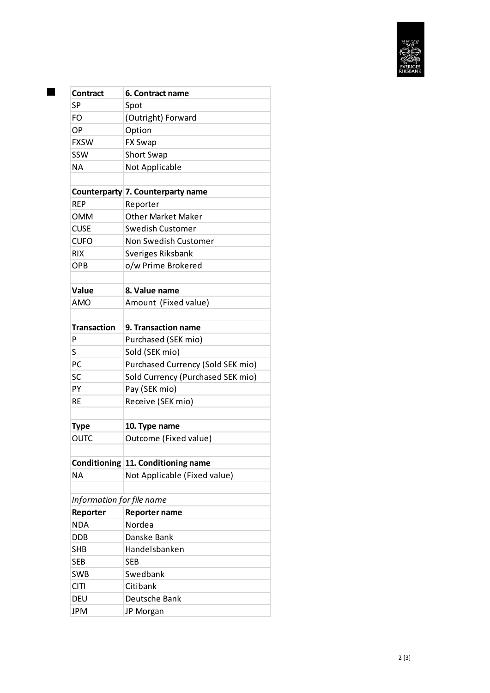

| <b>Contract</b>           | 6. Contract name                   |  |  |  |  |  |  |
|---------------------------|------------------------------------|--|--|--|--|--|--|
| <b>SP</b>                 | Spot                               |  |  |  |  |  |  |
| FΟ                        | (Outright) Forward                 |  |  |  |  |  |  |
| OP                        | Option                             |  |  |  |  |  |  |
| <b>FXSW</b>               | <b>FX Swap</b>                     |  |  |  |  |  |  |
| SSW                       | <b>Short Swap</b>                  |  |  |  |  |  |  |
| ΝA                        | Not Applicable                     |  |  |  |  |  |  |
|                           |                                    |  |  |  |  |  |  |
|                           | Counterparty 7. Counterparty name  |  |  |  |  |  |  |
| <b>RFP</b>                | Reporter                           |  |  |  |  |  |  |
| <b>OMM</b>                | <b>Other Market Maker</b>          |  |  |  |  |  |  |
| <b>CUSE</b>               | Swedish Customer                   |  |  |  |  |  |  |
| <b>CUFO</b>               | Non Swedish Customer               |  |  |  |  |  |  |
| <b>RIX</b>                | Sveriges Riksbank                  |  |  |  |  |  |  |
| OPB                       | o/w Prime Brokered                 |  |  |  |  |  |  |
|                           |                                    |  |  |  |  |  |  |
| Value                     | 8. Value name                      |  |  |  |  |  |  |
| AMO                       | Amount (Fixed value)               |  |  |  |  |  |  |
|                           |                                    |  |  |  |  |  |  |
| <b>Transaction</b>        | 9. Transaction name                |  |  |  |  |  |  |
| P                         | Purchased (SEK mio)                |  |  |  |  |  |  |
| S                         | Sold (SEK mio)                     |  |  |  |  |  |  |
| PC.                       | Purchased Currency (Sold SEK mio)  |  |  |  |  |  |  |
| SC                        | Sold Currency (Purchased SEK mio)  |  |  |  |  |  |  |
| PY                        | Pay (SEK mio)                      |  |  |  |  |  |  |
| <b>RE</b>                 | Receive (SEK mio)                  |  |  |  |  |  |  |
|                           |                                    |  |  |  |  |  |  |
| <b>Type</b>               | 10. Type name                      |  |  |  |  |  |  |
| <b>OUTC</b>               | Outcome (Fixed value)              |  |  |  |  |  |  |
|                           |                                    |  |  |  |  |  |  |
|                           | Conditioning 11. Conditioning name |  |  |  |  |  |  |
| NΑ                        | Not Applicable (Fixed value)       |  |  |  |  |  |  |
|                           |                                    |  |  |  |  |  |  |
| Information for file name |                                    |  |  |  |  |  |  |
| Reporter                  | <b>Reporter name</b>               |  |  |  |  |  |  |
| <b>NDA</b>                | Nordea                             |  |  |  |  |  |  |
| DDB                       | Danske Bank                        |  |  |  |  |  |  |
| SHB                       | Handelsbanken                      |  |  |  |  |  |  |
| SEB                       | SEB                                |  |  |  |  |  |  |
| <b>SWB</b>                | Swedbank                           |  |  |  |  |  |  |
| <b>CITI</b>               | Citibank                           |  |  |  |  |  |  |
| DEU                       | Deutsche Bank                      |  |  |  |  |  |  |
| JPM                       | JP Morgan                          |  |  |  |  |  |  |

П